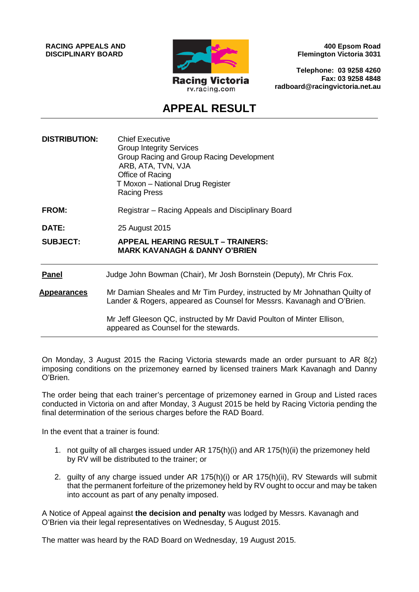**RACING APPEALS AND DISCIPLINARY BOARD**



**400 Epsom Road Flemington Victoria 3031**

**Telephone: 03 9258 4260 Fax: 03 9258 4848 radboard@racingvictoria.net.au**

## **APPEAL RESULT**

| <b>DISTRIBUTION:</b> | <b>Chief Executive</b><br><b>Group Integrity Services</b><br>Group Racing and Group Racing Development<br>ARB, ATA, TVN, VJA<br>Office of Racing<br>T Moxon - National Drug Register<br><b>Racing Press</b> |
|----------------------|-------------------------------------------------------------------------------------------------------------------------------------------------------------------------------------------------------------|
| <b>FROM:</b>         | Registrar – Racing Appeals and Disciplinary Board                                                                                                                                                           |
| DATE:                | 25 August 2015                                                                                                                                                                                              |
| <b>SUBJECT:</b>      | <b>APPEAL HEARING RESULT - TRAINERS:</b><br><b>MARK KAVANAGH &amp; DANNY O'BRIEN</b>                                                                                                                        |
| <b>Panel</b>         | Judge John Bowman (Chair), Mr Josh Bornstein (Deputy), Mr Chris Fox.                                                                                                                                        |
| <u>Appearances</u>   | Mr Damian Sheales and Mr Tim Purdey, instructed by Mr Johnathan Quilty of<br>Lander & Rogers, appeared as Counsel for Messrs. Kavanagh and O'Brien.                                                         |
|                      | Mr Jeff Gleeson QC, instructed by Mr David Poulton of Minter Ellison,<br>appeared as Counsel for the stewards.                                                                                              |

On Monday, 3 August 2015 the Racing Victoria stewards made an order pursuant to AR 8(z) imposing conditions on the prizemoney earned by licensed trainers Mark Kavanagh and Danny O'Brien.

The order being that each trainer's percentage of prizemoney earned in Group and Listed races conducted in Victoria on and after Monday, 3 August 2015 be held by Racing Victoria pending the final determination of the serious charges before the RAD Board.

In the event that a trainer is found:

- 1. not guilty of all charges issued under AR 175(h)(i) and AR 175(h)(ii) the prizemoney held by RV will be distributed to the trainer; or
- 2. guilty of any charge issued under AR 175(h)(i) or AR 175(h)(ii), RV Stewards will submit that the permanent forfeiture of the prizemoney held by RV ought to occur and may be taken into account as part of any penalty imposed.

A Notice of Appeal against **the decision and penalty** was lodged by Messrs. Kavanagh and O'Brien via their legal representatives on Wednesday, 5 August 2015.

The matter was heard by the RAD Board on Wednesday, 19 August 2015.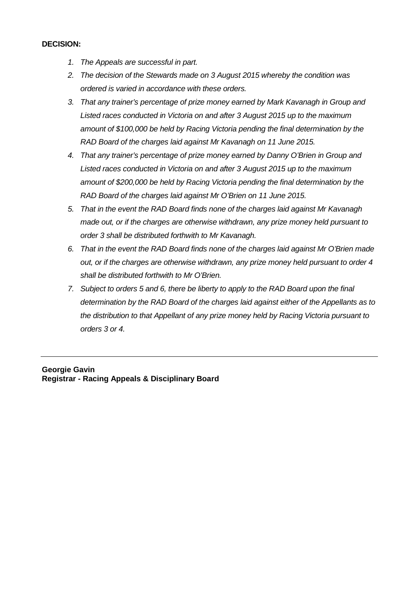## **DECISION:**

- *1. The Appeals are successful in part.*
- *2. The decision of the Stewards made on 3 August 2015 whereby the condition was ordered is varied in accordance with these orders.*
- *3. That any trainer's percentage of prize money earned by Mark Kavanagh in Group and Listed races conducted in Victoria on and after 3 August 2015 up to the maximum amount of \$100,000 be held by Racing Victoria pending the final determination by the RAD Board of the charges laid against Mr Kavanagh on 11 June 2015.*
- *4. That any trainer's percentage of prize money earned by Danny O'Brien in Group and Listed races conducted in Victoria on and after 3 August 2015 up to the maximum amount of \$200,000 be held by Racing Victoria pending the final determination by the RAD Board of the charges laid against Mr O'Brien on 11 June 2015.*
- *5. That in the event the RAD Board finds none of the charges laid against Mr Kavanagh made out, or if the charges are otherwise withdrawn, any prize money held pursuant to order 3 shall be distributed forthwith to Mr Kavanagh.*
- *6. That in the event the RAD Board finds none of the charges laid against Mr O'Brien made out, or if the charges are otherwise withdrawn, any prize money held pursuant to order 4 shall be distributed forthwith to Mr O'Brien.*
- *7. Subject to orders 5 and 6, there be liberty to apply to the RAD Board upon the final determination by the RAD Board of the charges laid against either of the Appellants as to the distribution to that Appellant of any prize money held by Racing Victoria pursuant to orders 3 or 4.*

## **Georgie Gavin Registrar - Racing Appeals & Disciplinary Board**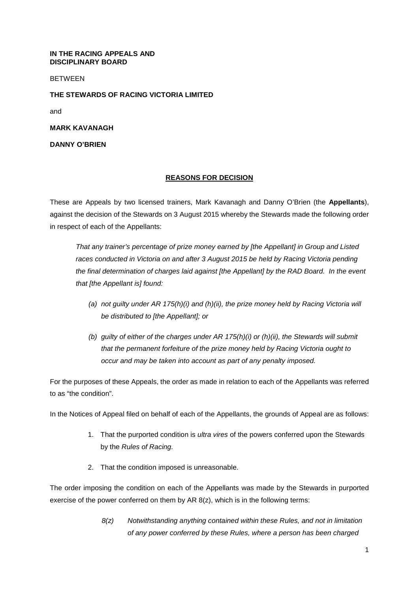**IN THE RACING APPEALS AND DISCIPLINARY BOARD**

BETWEEN

**THE STEWARDS OF RACING VICTORIA LIMITED**

and

**MARK KAVANAGH**

**DANNY O'BRIEN**

## **REASONS FOR DECISION**

These are Appeals by two licensed trainers, Mark Kavanagh and Danny O'Brien (the **Appellants**), against the decision of the Stewards on 3 August 2015 whereby the Stewards made the following order in respect of each of the Appellants:

*That any trainer's percentage of prize money earned by [the Appellant] in Group and Listed races conducted in Victoria on and after 3 August 2015 be held by Racing Victoria pending the final determination of charges laid against [the Appellant] by the RAD Board. In the event that [the Appellant is] found:*

- *(a) not guilty under AR 175(h)(i) and (h)(ii), the prize money held by Racing Victoria will be distributed to [the Appellant]; or*
- *(b) guilty of either of the charges under AR 175(h)(i) or (h)(ii), the Stewards will submit that the permanent forfeiture of the prize money held by Racing Victoria ought to occur and may be taken into account as part of any penalty imposed.*

For the purposes of these Appeals, the order as made in relation to each of the Appellants was referred to as "the condition".

In the Notices of Appeal filed on behalf of each of the Appellants, the grounds of Appeal are as follows:

- 1. That the purported condition is *ultra vires* of the powers conferred upon the Stewards by the *Rules of Racing.*
- 2. That the condition imposed is unreasonable.

The order imposing the condition on each of the Appellants was made by the Stewards in purported exercise of the power conferred on them by AR 8(z), which is in the following terms:

> *8(z) Notwithstanding anything contained within these Rules, and not in limitation of any power conferred by these Rules, where a person has been charged*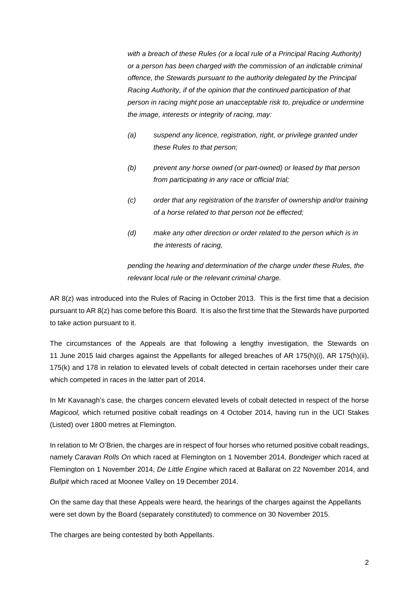with a breach of these Rules (or a local rule of a Principal Racing Authority) *or a person has been charged with the commission of an indictable criminal offence, the Stewards pursuant to the authority delegated by the Principal Racing Authority, if of the opinion that the continued participation of that person in racing might pose an unacceptable risk to, prejudice or undermine the image, interests or integrity of racing, may:* 

- *(a) suspend any licence, registration, right, or privilege granted under these Rules to that person;*
- *(b) prevent any horse owned (or part-owned) or leased by that person from participating in any race or official trial;*
- *(c) order that any registration of the transfer of ownership and/or training of a horse related to that person not be effected;*
- *(d) make any other direction or order related to the person which is in the interests of racing,*

*pending the hearing and determination of the charge under these Rules, the relevant local rule or the relevant criminal charge.* 

AR 8(z) was introduced into the Rules of Racing in October 2013. This is the first time that a decision pursuant to AR 8(z) has come before this Board. It is also the first time that the Stewards have purported to take action pursuant to it.

The circumstances of the Appeals are that following a lengthy investigation, the Stewards on 11 June 2015 laid charges against the Appellants for alleged breaches of AR 175(h)(i), AR 175(h)(ii), 175(k) and 178 in relation to elevated levels of cobalt detected in certain racehorses under their care which competed in races in the latter part of 2014.

In Mr Kavanagh's case, the charges concern elevated levels of cobalt detected in respect of the horse *Magicool,* which returned positive cobalt readings on 4 October 2014, having run in the UCI Stakes (Listed) over 1800 metres at Flemington.

In relation to Mr O'Brien, the charges are in respect of four horses who returned positive cobalt readings, namely *Caravan Rolls On* which raced at Flemington on 1 November 2014, *Bondeiger* which raced at Flemington on 1 November 2014, *De Little Engine* which raced at Ballarat on 22 November 2014, and *Bullpit* which raced at Moonee Valley on 19 December 2014.

On the same day that these Appeals were heard, the hearings of the charges against the Appellants were set down by the Board (separately constituted) to commence on 30 November 2015.

The charges are being contested by both Appellants.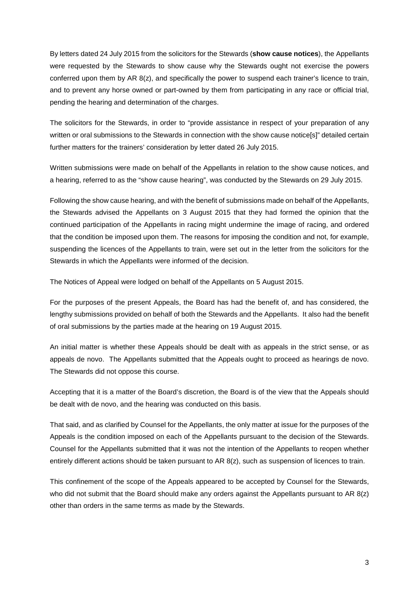By letters dated 24 July 2015 from the solicitors for the Stewards (**show cause notices**), the Appellants were requested by the Stewards to show cause why the Stewards ought not exercise the powers conferred upon them by AR 8(z), and specifically the power to suspend each trainer's licence to train, and to prevent any horse owned or part-owned by them from participating in any race or official trial, pending the hearing and determination of the charges.

The solicitors for the Stewards, in order to "provide assistance in respect of your preparation of any written or oral submissions to the Stewards in connection with the show cause notice[s]" detailed certain further matters for the trainers' consideration by letter dated 26 July 2015.

Written submissions were made on behalf of the Appellants in relation to the show cause notices, and a hearing, referred to as the "show cause hearing", was conducted by the Stewards on 29 July 2015.

Following the show cause hearing, and with the benefit of submissions made on behalf of the Appellants, the Stewards advised the Appellants on 3 August 2015 that they had formed the opinion that the continued participation of the Appellants in racing might undermine the image of racing, and ordered that the condition be imposed upon them. The reasons for imposing the condition and not, for example, suspending the licences of the Appellants to train, were set out in the letter from the solicitors for the Stewards in which the Appellants were informed of the decision.

The Notices of Appeal were lodged on behalf of the Appellants on 5 August 2015.

For the purposes of the present Appeals, the Board has had the benefit of, and has considered, the lengthy submissions provided on behalf of both the Stewards and the Appellants. It also had the benefit of oral submissions by the parties made at the hearing on 19 August 2015.

An initial matter is whether these Appeals should be dealt with as appeals in the strict sense, or as appeals de novo. The Appellants submitted that the Appeals ought to proceed as hearings de novo. The Stewards did not oppose this course.

Accepting that it is a matter of the Board's discretion, the Board is of the view that the Appeals should be dealt with de novo, and the hearing was conducted on this basis.

That said, and as clarified by Counsel for the Appellants, the only matter at issue for the purposes of the Appeals is the condition imposed on each of the Appellants pursuant to the decision of the Stewards. Counsel for the Appellants submitted that it was not the intention of the Appellants to reopen whether entirely different actions should be taken pursuant to AR 8(z), such as suspension of licences to train.

This confinement of the scope of the Appeals appeared to be accepted by Counsel for the Stewards, who did not submit that the Board should make any orders against the Appellants pursuant to AR 8(z) other than orders in the same terms as made by the Stewards.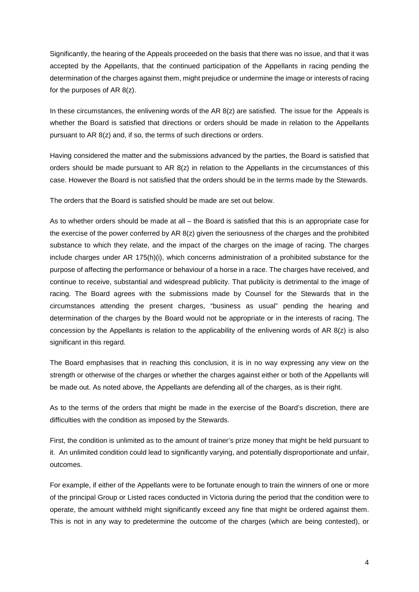Significantly, the hearing of the Appeals proceeded on the basis that there was no issue, and that it was accepted by the Appellants, that the continued participation of the Appellants in racing pending the determination of the charges against them, might prejudice or undermine the image or interests of racing for the purposes of AR 8(z).

In these circumstances, the enlivening words of the AR  $8(z)$  are satisfied. The issue for the Appeals is whether the Board is satisfied that directions or orders should be made in relation to the Appellants pursuant to AR 8(z) and, if so, the terms of such directions or orders.

Having considered the matter and the submissions advanced by the parties, the Board is satisfied that orders should be made pursuant to AR  $8(z)$  in relation to the Appellants in the circumstances of this case. However the Board is not satisfied that the orders should be in the terms made by the Stewards.

The orders that the Board is satisfied should be made are set out below.

As to whether orders should be made at all – the Board is satisfied that this is an appropriate case for the exercise of the power conferred by AR 8(z) given the seriousness of the charges and the prohibited substance to which they relate, and the impact of the charges on the image of racing. The charges include charges under AR 175(h)(i), which concerns administration of a prohibited substance for the purpose of affecting the performance or behaviour of a horse in a race. The charges have received, and continue to receive, substantial and widespread publicity. That publicity is detrimental to the image of racing. The Board agrees with the submissions made by Counsel for the Stewards that in the circumstances attending the present charges, "business as usual" pending the hearing and determination of the charges by the Board would not be appropriate or in the interests of racing. The concession by the Appellants is relation to the applicability of the enlivening words of AR  $8(z)$  is also significant in this regard.

The Board emphasises that in reaching this conclusion, it is in no way expressing any view on the strength or otherwise of the charges or whether the charges against either or both of the Appellants will be made out. As noted above, the Appellants are defending all of the charges, as is their right.

As to the terms of the orders that might be made in the exercise of the Board's discretion, there are difficulties with the condition as imposed by the Stewards.

First, the condition is unlimited as to the amount of trainer's prize money that might be held pursuant to it. An unlimited condition could lead to significantly varying, and potentially disproportionate and unfair, outcomes.

For example, if either of the Appellants were to be fortunate enough to train the winners of one or more of the principal Group or Listed races conducted in Victoria during the period that the condition were to operate, the amount withheld might significantly exceed any fine that might be ordered against them. This is not in any way to predetermine the outcome of the charges (which are being contested), or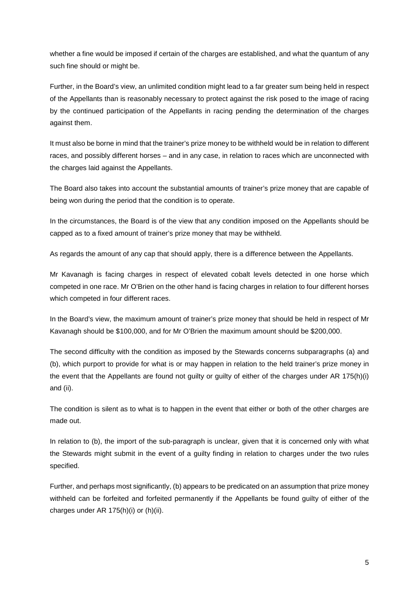whether a fine would be imposed if certain of the charges are established, and what the quantum of any such fine should or might be.

Further, in the Board's view, an unlimited condition might lead to a far greater sum being held in respect of the Appellants than is reasonably necessary to protect against the risk posed to the image of racing by the continued participation of the Appellants in racing pending the determination of the charges against them.

It must also be borne in mind that the trainer's prize money to be withheld would be in relation to different races, and possibly different horses – and in any case, in relation to races which are unconnected with the charges laid against the Appellants.

The Board also takes into account the substantial amounts of trainer's prize money that are capable of being won during the period that the condition is to operate.

In the circumstances, the Board is of the view that any condition imposed on the Appellants should be capped as to a fixed amount of trainer's prize money that may be withheld.

As regards the amount of any cap that should apply, there is a difference between the Appellants.

Mr Kavanagh is facing charges in respect of elevated cobalt levels detected in one horse which competed in one race. Mr O'Brien on the other hand is facing charges in relation to four different horses which competed in four different races.

In the Board's view, the maximum amount of trainer's prize money that should be held in respect of Mr Kavanagh should be \$100,000, and for Mr O'Brien the maximum amount should be \$200,000.

The second difficulty with the condition as imposed by the Stewards concerns subparagraphs (a) and (b), which purport to provide for what is or may happen in relation to the held trainer's prize money in the event that the Appellants are found not guilty or guilty of either of the charges under AR 175(h)(i) and (ii).

The condition is silent as to what is to happen in the event that either or both of the other charges are made out.

In relation to (b), the import of the sub-paragraph is unclear, given that it is concerned only with what the Stewards might submit in the event of a guilty finding in relation to charges under the two rules specified.

Further, and perhaps most significantly, (b) appears to be predicated on an assumption that prize money withheld can be forfeited and forfeited permanently if the Appellants be found guilty of either of the charges under AR 175(h)(i) or (h)(ii).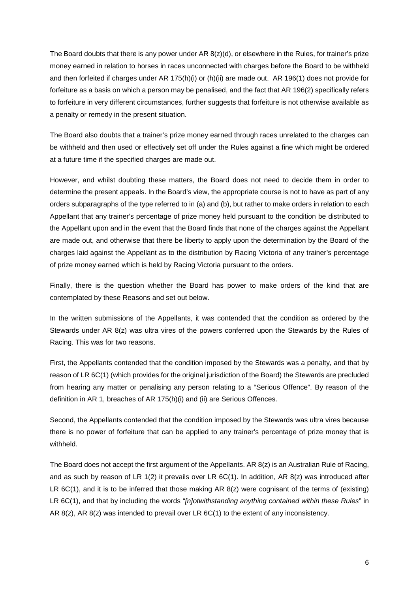The Board doubts that there is any power under AR 8(z)(d), or elsewhere in the Rules, for trainer's prize money earned in relation to horses in races unconnected with charges before the Board to be withheld and then forfeited if charges under AR 175(h)(i) or (h)(ii) are made out. AR 196(1) does not provide for forfeiture as a basis on which a person may be penalised, and the fact that AR 196(2) specifically refers to forfeiture in very different circumstances, further suggests that forfeiture is not otherwise available as a penalty or remedy in the present situation.

The Board also doubts that a trainer's prize money earned through races unrelated to the charges can be withheld and then used or effectively set off under the Rules against a fine which might be ordered at a future time if the specified charges are made out.

However, and whilst doubting these matters, the Board does not need to decide them in order to determine the present appeals. In the Board's view, the appropriate course is not to have as part of any orders subparagraphs of the type referred to in (a) and (b), but rather to make orders in relation to each Appellant that any trainer's percentage of prize money held pursuant to the condition be distributed to the Appellant upon and in the event that the Board finds that none of the charges against the Appellant are made out, and otherwise that there be liberty to apply upon the determination by the Board of the charges laid against the Appellant as to the distribution by Racing Victoria of any trainer's percentage of prize money earned which is held by Racing Victoria pursuant to the orders.

Finally, there is the question whether the Board has power to make orders of the kind that are contemplated by these Reasons and set out below.

In the written submissions of the Appellants, it was contended that the condition as ordered by the Stewards under AR 8(z) was ultra vires of the powers conferred upon the Stewards by the Rules of Racing. This was for two reasons.

First, the Appellants contended that the condition imposed by the Stewards was a penalty, and that by reason of LR 6C(1) (which provides for the original jurisdiction of the Board) the Stewards are precluded from hearing any matter or penalising any person relating to a "Serious Offence". By reason of the definition in AR 1, breaches of AR 175(h)(i) and (ii) are Serious Offences.

Second, the Appellants contended that the condition imposed by the Stewards was ultra vires because there is no power of forfeiture that can be applied to any trainer's percentage of prize money that is withheld.

The Board does not accept the first argument of the Appellants. AR  $8(z)$  is an Australian Rule of Racing, and as such by reason of LR 1(2) it prevails over LR 6C(1). In addition, AR 8(z) was introduced after LR 6C(1), and it is to be inferred that those making AR 8(z) were cognisant of the terms of (existing) LR 6C(1), and that by including the words "*[n]otwithstanding anything contained within these Rules*" in AR 8(z), AR 8(z) was intended to prevail over LR 6C(1) to the extent of any inconsistency.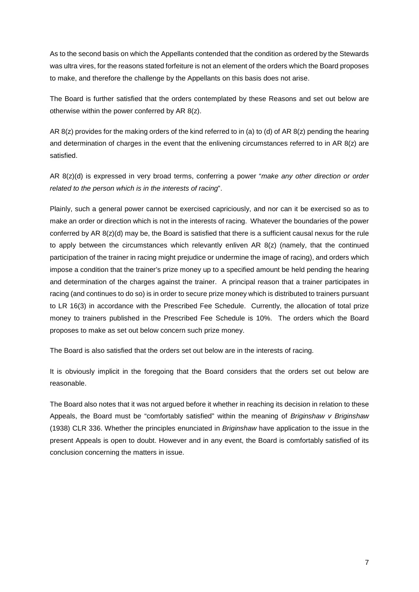As to the second basis on which the Appellants contended that the condition as ordered by the Stewards was ultra vires, for the reasons stated forfeiture is not an element of the orders which the Board proposes to make, and therefore the challenge by the Appellants on this basis does not arise.

The Board is further satisfied that the orders contemplated by these Reasons and set out below are otherwise within the power conferred by AR 8(z).

AR 8(z) provides for the making orders of the kind referred to in (a) to (d) of AR 8(z) pending the hearing and determination of charges in the event that the enlivening circumstances referred to in AR 8(z) are satisfied.

AR 8(z)(d) is expressed in very broad terms, conferring a power "*make any other direction or order related to the person which is in the interests of racing*".

Plainly, such a general power cannot be exercised capriciously, and nor can it be exercised so as to make an order or direction which is not in the interests of racing. Whatever the boundaries of the power conferred by AR 8(z)(d) may be, the Board is satisfied that there is a sufficient causal nexus for the rule to apply between the circumstances which relevantly enliven AR  $8(z)$  (namely, that the continued participation of the trainer in racing might prejudice or undermine the image of racing), and orders which impose a condition that the trainer's prize money up to a specified amount be held pending the hearing and determination of the charges against the trainer. A principal reason that a trainer participates in racing (and continues to do so) is in order to secure prize money which is distributed to trainers pursuant to LR 16(3) in accordance with the Prescribed Fee Schedule. Currently, the allocation of total prize money to trainers published in the Prescribed Fee Schedule is 10%. The orders which the Board proposes to make as set out below concern such prize money.

The Board is also satisfied that the orders set out below are in the interests of racing.

It is obviously implicit in the foregoing that the Board considers that the orders set out below are reasonable.

The Board also notes that it was not argued before it whether in reaching its decision in relation to these Appeals, the Board must be "comfortably satisfied" within the meaning of *Briginshaw v Briginshaw*  (1938) CLR 336. Whether the principles enunciated in *Briginshaw* have application to the issue in the present Appeals is open to doubt. However and in any event, the Board is comfortably satisfied of its conclusion concerning the matters in issue.